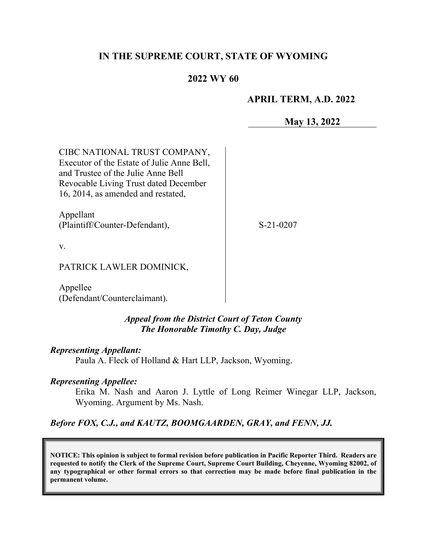# **IN THE SUPREME COURT, STATE OF WYOMING**

## **2022 WY 60**

#### **APRIL TERM, A.D. 2022**

**May 13, 2022**

CIBC NATIONAL TRUST COMPANY, Executor of the Estate of Julie Anne Bell, and Trustee of the Julie Anne Bell Revocable Living Trust dated December 16, 2014, as amended and restated,

Appellant (Plaintiff/Counter-Defendant),

S-21-0207

v.

PATRICK LAWLER DOMINICK,

Appellee (Defendant/Counterclaimant).

#### *Appeal from the District Court of Teton County The Honorable Timothy C. Day, Judge*

#### *Representing Appellant:*

Paula A. Fleck of Holland & Hart LLP, Jackson, Wyoming.

#### *Representing Appellee:*

Erika M. Nash and Aaron J. Lyttle of Long Reimer Winegar LLP, Jackson, Wyoming. Argument by Ms. Nash.

*Before FOX, C.J., and KAUTZ, BOOMGAARDEN, GRAY, and FENN, JJ.* 

**NOTICE: This opinion is subject to formal revision before publication in Pacific Reporter Third. Readers are requested to notify the Clerk of the Supreme Court, Supreme Court Building, Cheyenne, Wyoming 82002, of any typographical or other formal errors so that correction may be made before final publication in the permanent volume.**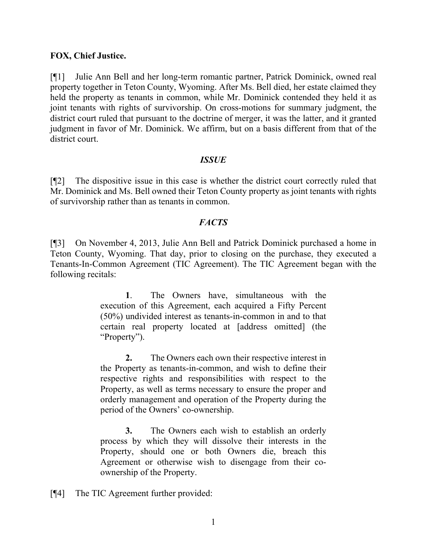#### **FOX, Chief Justice.**

[¶1] Julie Ann Bell and her long-term romantic partner, Patrick Dominick, owned real property together in Teton County, Wyoming. After Ms. Bell died, her estate claimed they held the property as tenants in common, while Mr. Dominick contended they held it as joint tenants with rights of survivorship. On cross-motions for summary judgment, the district court ruled that pursuant to the doctrine of merger, it was the latter, and it granted judgment in favor of Mr. Dominick. We affirm, but on a basis different from that of the district court.

### *ISSUE*

[¶2] The dispositive issue in this case is whether the district court correctly ruled that Mr. Dominick and Ms. Bell owned their Teton County property as joint tenants with rights of survivorship rather than as tenants in common.

### *FACTS*

[¶3] On November 4, 2013, Julie Ann Bell and Patrick Dominick purchased a home in Teton County, Wyoming. That day, prior to closing on the purchase, they executed a Tenants-In-Common Agreement (TIC Agreement). The TIC Agreement began with the following recitals:

> **1**. The Owners have, simultaneous with the execution of this Agreement, each acquired a Fifty Percent (50%) undivided interest as tenants-in-common in and to that certain real property located at [address omitted] (the "Property").

> **2.** The Owners each own their respective interest in the Property as tenants-in-common, and wish to define their respective rights and responsibilities with respect to the Property, as well as terms necessary to ensure the proper and orderly management and operation of the Property during the period of the Owners' co-ownership.

> **3.** The Owners each wish to establish an orderly process by which they will dissolve their interests in the Property, should one or both Owners die, breach this Agreement or otherwise wish to disengage from their coownership of the Property.

[¶4] The TIC Agreement further provided: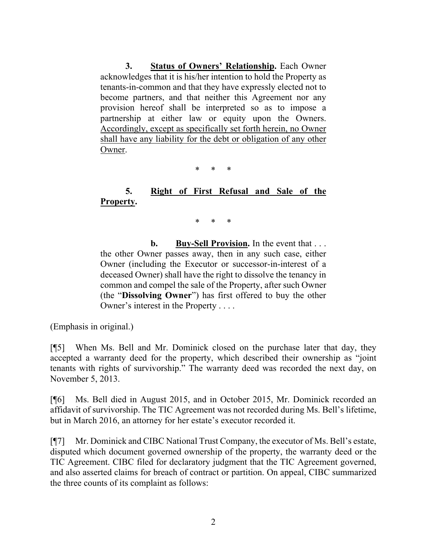**3. Status of Owners' Relationship.** Each Owner acknowledges that it is his/her intention to hold the Property as tenants-in-common and that they have expressly elected not to become partners, and that neither this Agreement nor any provision hereof shall be interpreted so as to impose a partnership at either law or equity upon the Owners. Accordingly, except as specifically set forth herein, no Owner shall have any liability for the debt or obligation of any other Owner.

\* \* \*

# **5. Right of First Refusal and Sale of the Property.**

\* \* \*

 **b. Buy-Sell Provision.** In the event that . . . the other Owner passes away, then in any such case, either Owner (including the Executor or successor-in-interest of a deceased Owner) shall have the right to dissolve the tenancy in common and compel the sale of the Property, after such Owner (the "**Dissolving Owner**") has first offered to buy the other Owner's interest in the Property . . . .

(Emphasis in original.)

[¶5] When Ms. Bell and Mr. Dominick closed on the purchase later that day, they accepted a warranty deed for the property, which described their ownership as "joint tenants with rights of survivorship." The warranty deed was recorded the next day, on November 5, 2013.

[¶6] Ms. Bell died in August 2015, and in October 2015, Mr. Dominick recorded an affidavit of survivorship. The TIC Agreement was not recorded during Ms. Bell's lifetime, but in March 2016, an attorney for her estate's executor recorded it.

[¶7] Mr. Dominick and CIBC National Trust Company, the executor of Ms. Bell's estate, disputed which document governed ownership of the property, the warranty deed or the TIC Agreement. CIBC filed for declaratory judgment that the TIC Agreement governed, and also asserted claims for breach of contract or partition. On appeal, CIBC summarized the three counts of its complaint as follows: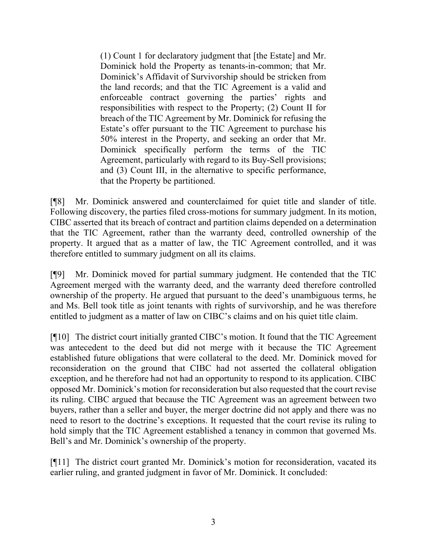(1) Count 1 for declaratory judgment that [the Estate] and Mr. Dominick hold the Property as tenants-in-common; that Mr. Dominick's Affidavit of Survivorship should be stricken from the land records; and that the TIC Agreement is a valid and enforceable contract governing the parties' rights and responsibilities with respect to the Property; (2) Count II for breach of the TIC Agreement by Mr. Dominick for refusing the Estate's offer pursuant to the TIC Agreement to purchase his 50% interest in the Property, and seeking an order that Mr. Dominick specifically perform the terms of the TIC Agreement, particularly with regard to its Buy-Sell provisions; and (3) Count III, in the alternative to specific performance, that the Property be partitioned.

[¶8] Mr. Dominick answered and counterclaimed for quiet title and slander of title. Following discovery, the parties filed cross-motions for summary judgment. In its motion, CIBC asserted that its breach of contract and partition claims depended on a determination that the TIC Agreement, rather than the warranty deed, controlled ownership of the property. It argued that as a matter of law, the TIC Agreement controlled, and it was therefore entitled to summary judgment on all its claims.

[¶9] Mr. Dominick moved for partial summary judgment. He contended that the TIC Agreement merged with the warranty deed, and the warranty deed therefore controlled ownership of the property. He argued that pursuant to the deed's unambiguous terms, he and Ms. Bell took title as joint tenants with rights of survivorship, and he was therefore entitled to judgment as a matter of law on CIBC's claims and on his quiet title claim.

[¶10] The district court initially granted CIBC's motion. It found that the TIC Agreement was antecedent to the deed but did not merge with it because the TIC Agreement established future obligations that were collateral to the deed. Mr. Dominick moved for reconsideration on the ground that CIBC had not asserted the collateral obligation exception, and he therefore had not had an opportunity to respond to its application. CIBC opposed Mr. Dominick's motion for reconsideration but also requested that the court revise its ruling. CIBC argued that because the TIC Agreement was an agreement between two buyers, rather than a seller and buyer, the merger doctrine did not apply and there was no need to resort to the doctrine's exceptions. It requested that the court revise its ruling to hold simply that the TIC Agreement established a tenancy in common that governed Ms. Bell's and Mr. Dominick's ownership of the property.

[¶11] The district court granted Mr. Dominick's motion for reconsideration, vacated its earlier ruling, and granted judgment in favor of Mr. Dominick. It concluded: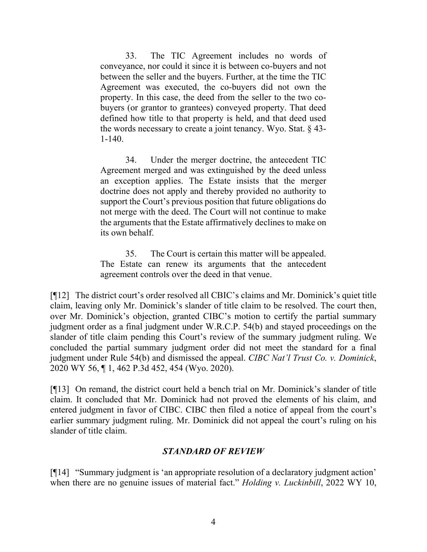33. The TIC Agreement includes no words of conveyance, nor could it since it is between co-buyers and not between the seller and the buyers. Further, at the time the TIC Agreement was executed, the co-buyers did not own the property. In this case, the deed from the seller to the two cobuyers (or grantor to grantees) conveyed property. That deed defined how title to that property is held, and that deed used the words necessary to create a joint tenancy. Wyo. Stat. § 43- 1-140.

34. Under the merger doctrine, the antecedent TIC Agreement merged and was extinguished by the deed unless an exception applies. The Estate insists that the merger doctrine does not apply and thereby provided no authority to support the Court's previous position that future obligations do not merge with the deed. The Court will not continue to make the arguments that the Estate affirmatively declines to make on its own behalf.

35. The Court is certain this matter will be appealed. The Estate can renew its arguments that the antecedent agreement controls over the deed in that venue.

[¶12] The district court's order resolved all CBIC's claims and Mr. Dominick's quiet title claim, leaving only Mr. Dominick's slander of title claim to be resolved. The court then, over Mr. Dominick's objection, granted CIBC's motion to certify the partial summary judgment order as a final judgment under W.R.C.P. 54(b) and stayed proceedings on the slander of title claim pending this Court's review of the summary judgment ruling. We concluded the partial summary judgment order did not meet the standard for a final judgment under Rule 54(b) and dismissed the appeal. *CIBC Nat'l Trust Co. v. Dominick*, 2020 WY 56, ¶ 1, 462 P.3d 452, 454 (Wyo. 2020).

[¶13] On remand, the district court held a bench trial on Mr. Dominick's slander of title claim. It concluded that Mr. Dominick had not proved the elements of his claim, and entered judgment in favor of CIBC. CIBC then filed a notice of appeal from the court's earlier summary judgment ruling. Mr. Dominick did not appeal the court's ruling on his slander of title claim.

# *STANDARD OF REVIEW*

[¶14] "Summary judgment is 'an appropriate resolution of a declaratory judgment action' when there are no genuine issues of material fact." *Holding v. Luckinbill*, 2022 WY 10,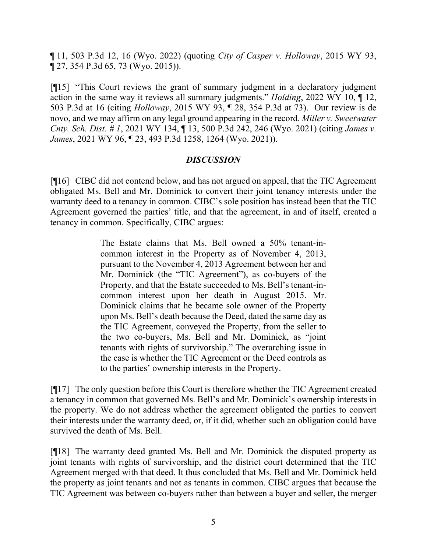¶ 11, 503 P.3d 12, 16 (Wyo. 2022) (quoting *[City of Casper v. Holloway](http://www.westlaw.com/Link/Document/FullText?findType=Y&serNum=2036722531&pubNum=0004645&originatingDoc=I7b246c407d6b11eca74eff61e1b473bc&refType=RP&fi=co_pp_sp_4645_73&originationContext=document&vr=3.0&rs=cblt1.0&transitionType=DocumentItem&contextData=(sc.Search)#co_pp_sp_4645_73)*, 2015 WY 93, ¶ [27, 354 P.3d 65, 73 \(Wyo. 2015\)\)](http://www.westlaw.com/Link/Document/FullText?findType=Y&serNum=2036722531&pubNum=0004645&originatingDoc=I7b246c407d6b11eca74eff61e1b473bc&refType=RP&fi=co_pp_sp_4645_73&originationContext=document&vr=3.0&rs=cblt1.0&transitionType=DocumentItem&contextData=(sc.Search)#co_pp_sp_4645_73).

[¶15] "This Court reviews the grant of summary judgment in a declaratory judgment action in the same way it reviews all summary judgments." *Holding*, 2022 WY 10, ¶ 12, 503 P.3d at 16 (citing *Holloway*[, 2015 WY 93, ¶ 28, 354 P.3d at 73\)](http://www.westlaw.com/Link/Document/FullText?findType=Y&serNum=2036722531&pubNum=0004645&originatingDoc=I7b246c407d6b11eca74eff61e1b473bc&refType=RP&fi=co_pp_sp_4645_73&originationContext=document&vr=3.0&rs=cblt1.0&transitionType=DocumentItem&contextData=(sc.Search)#co_pp_sp_4645_73). Our review is de novo, and we may affirm on any legal ground appearing in the record. *Miller v. Sweetwater Cnty. Sch. Dist. # 1*, 2021 WY 134, ¶ 13, 500 P.3d 242, 246 (Wyo. 2021) (citing *[James v.](http://www.westlaw.com/Link/Document/FullText?findType=Y&serNum=2054343688&pubNum=0004645&originatingDoc=I09cef5d056f411ec9a6bc126e12e934d&refType=RP&fi=co_pp_sp_4645_1264&originationContext=document&vr=3.0&rs=cblt1.0&transitionType=DocumentItem&contextData=(sc.Search)#co_pp_sp_4645_1264)  James*[, 2021 WY 96, ¶ 23, 493 P.3d 1258, 1264 \(Wyo. 2021\)\)](http://www.westlaw.com/Link/Document/FullText?findType=Y&serNum=2054343688&pubNum=0004645&originatingDoc=I09cef5d056f411ec9a6bc126e12e934d&refType=RP&fi=co_pp_sp_4645_1264&originationContext=document&vr=3.0&rs=cblt1.0&transitionType=DocumentItem&contextData=(sc.Search)#co_pp_sp_4645_1264).

# *DISCUSSION*

[¶16] CIBC did not contend below, and has not argued on appeal, that the TIC Agreement obligated Ms. Bell and Mr. Dominick to convert their joint tenancy interests under the warranty deed to a tenancy in common. CIBC's sole position has instead been that the TIC Agreement governed the parties' title, and that the agreement, in and of itself, created a tenancy in common. Specifically, CIBC argues:

> The Estate claims that Ms. Bell owned a 50% tenant-incommon interest in the Property as of November 4, 2013, pursuant to the November 4, 2013 Agreement between her and Mr. Dominick (the "TIC Agreement"), as co-buyers of the Property, and that the Estate succeeded to Ms. Bell's tenant-incommon interest upon her death in August 2015. Mr. Dominick claims that he became sole owner of the Property upon Ms. Bell's death because the Deed, dated the same day as the TIC Agreement, conveyed the Property, from the seller to the two co-buyers, Ms. Bell and Mr. Dominick, as "joint tenants with rights of survivorship." The overarching issue in the case is whether the TIC Agreement or the Deed controls as to the parties' ownership interests in the Property.

[¶17] The only question before this Court is therefore whether the TIC Agreement created a tenancy in common that governed Ms. Bell's and Mr. Dominick's ownership interests in the property. We do not address whether the agreement obligated the parties to convert their interests under the warranty deed, or, if it did, whether such an obligation could have survived the death of Ms. Bell.

[¶18] The warranty deed granted Ms. Bell and Mr. Dominick the disputed property as joint tenants with rights of survivorship, and the district court determined that the TIC Agreement merged with that deed. It thus concluded that Ms. Bell and Mr. Dominick held the property as joint tenants and not as tenants in common. CIBC argues that because the TIC Agreement was between co-buyers rather than between a buyer and seller, the merger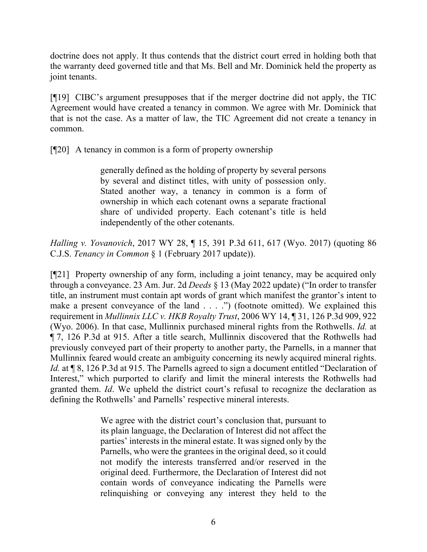doctrine does not apply. It thus contends that the district court erred in holding both that the warranty deed governed title and that Ms. Bell and Mr. Dominick held the property as joint tenants.

[¶19] CIBC's argument presupposes that if the merger doctrine did not apply, the TIC Agreement would have created a tenancy in common. We agree with Mr. Dominick that that is not the case. As a matter of law, the TIC Agreement did not create a tenancy in common.

[¶20] A tenancy in common is a form of property ownership

generally defined as the holding of property by several persons by several and distinct titles, with unity of possession only. Stated another way, a tenancy in common is a form of ownership in which each cotenant owns a separate fractional share of undivided property. Each cotenant's title is held independently of the other cotenants.

*Halling v. Yovanovich*, 2017 WY 28, ¶ 15, 391 P.3d 611, 617 (Wyo. 2017) (quoting [86](http://www.westlaw.com/Link/Document/FullText?findType=Y&serNum=0289698070&pubNum=0158237&originatingDoc=I64d6f540056e11e781b2a67ea2e2f62b&refType=TS&originationContext=document&vr=3.0&rs=cblt1.0&transitionType=DocumentItem&contextData=(sc.Search))  C.J.S. *Tenancy in Common* [§ 1 \(February 2017 update\)\)](http://www.westlaw.com/Link/Document/FullText?findType=Y&serNum=0289698070&pubNum=0158237&originatingDoc=I64d6f540056e11e781b2a67ea2e2f62b&refType=TS&originationContext=document&vr=3.0&rs=cblt1.0&transitionType=DocumentItem&contextData=(sc.Search)).

[¶21] Property ownership of any form, including a joint tenancy, may be acquired only through a conveyance. 23 Am. Jur. 2d *Deeds* § 13 (May 2022 update) ("In order to transfer title, an instrument must contain apt words of grant which manifest the grantor's intent to make a present conveyance of the land . . . .") (footnote omitted). We explained this requirement in *Mullinnix LLC v. HKB Royalty Trust*, 2006 WY 14, ¶ 31, 126 P.3d 909, 922 (Wyo. 2006). In that case, Mullinnix purchased mineral rights from the Rothwells. *Id.* at ¶ 7, 126 P.3d at 915. After a title search, Mullinnix discovered that the Rothwells had previously conveyed part of their property to another party, the Parnells, in a manner that Mullinnix feared would create an ambiguity concerning its newly acquired mineral rights. *Id.* at  $\sqrt{8}$ , 126 P.3d at 915. The Parnells agreed to sign a document entitled "Declaration of Interest," which purported to clarify and limit the mineral interests the Rothwells had granted them. *Id*. We upheld the district court's refusal to recognize the declaration as defining the Rothwells' and Parnells' respective mineral interests.

> We agree with the district court's conclusion that, pursuant to its plain language, the Declaration of Interest did not affect the parties' interests in the mineral estate. It was signed only by the Parnells, who were the grantees in the original deed, so it could not modify the interests transferred and/or reserved in the original deed. Furthermore, the Declaration of Interest did not contain words of conveyance indicating the Parnells were relinquishing or conveying any interest they held to the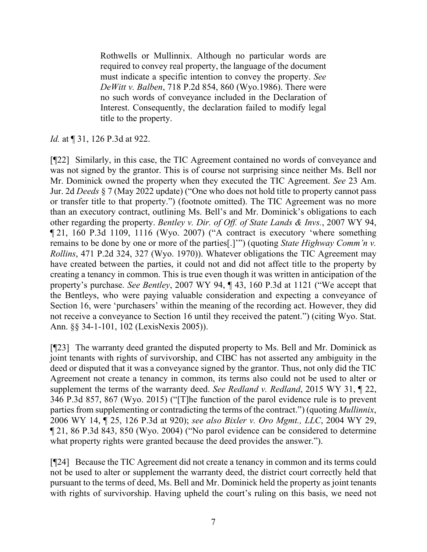Rothwells or Mullinnix. Although no particular words are required to convey real property, the language of the document must indicate a specific intention to convey the property. *See DeWitt v. Balben*[, 718 P.2d 854, 860 \(Wyo.1986\).](http://www.westlaw.com/Link/Document/FullText?findType=Y&serNum=1986121891&pubNum=0000661&originatingDoc=Ib8a9a0958cb311da9cfda9de91273d56&refType=RP&fi=co_pp_sp_661_860&originationContext=document&vr=3.0&rs=cblt1.0&transitionType=DocumentItem&contextData=(sc.UserEnteredCitation)#co_pp_sp_661_860) There were no such words of conveyance included in the Declaration of Interest. Consequently, the declaration failed to modify legal title to the property.

# *Id.* at ¶ 31, 126 P.3d at 922.

[¶22] Similarly, in this case, the TIC Agreement contained no words of conveyance and was not signed by the grantor. This is of course not surprising since neither Ms. Bell nor Mr. Dominick owned the property when they executed the TIC Agreement. *See* 23 Am. Jur. 2d *Deeds* § 7 (May 2022 update) ("One who does not hold title to property cannot pass or transfer title to that property.") (footnote omitted). The TIC Agreement was no more than an executory contract, outlining Ms. Bell's and Mr. Dominick's obligations to each other regarding the property. *Bentley v. Dir. of Off. of State Lands & Invs.*, 2007 WY 94, ¶ 21, 160 P.3d 1109, 1116 (Wyo. 2007) ("A contract is executory 'where something remains to be done by one or more of the parties[.]'") (quoting *[State Highway Comm'n v.](http://www.westlaw.com/Link/Document/FullText?findType=Y&serNum=1970131864&pubNum=0000661&originatingDoc=I0b4290c115e811dc962ef0ed15906072&refType=RP&fi=co_pp_sp_661_327&originationContext=document&vr=3.0&rs=cblt1.0&transitionType=DocumentItem&contextData=(sc.DocLink)#co_pp_sp_661_327)  Rollins*[, 471 P.2d 324, 327 \(Wyo. 1970\)\)](http://www.westlaw.com/Link/Document/FullText?findType=Y&serNum=1970131864&pubNum=0000661&originatingDoc=I0b4290c115e811dc962ef0ed15906072&refType=RP&fi=co_pp_sp_661_327&originationContext=document&vr=3.0&rs=cblt1.0&transitionType=DocumentItem&contextData=(sc.DocLink)#co_pp_sp_661_327). Whatever obligations the TIC Agreement may have created between the parties, it could not and did not affect title to the property by creating a tenancy in common. This is true even though it was written in anticipation of the property's purchase. *See Bentley*, 2007 WY 94, ¶ 43, 160 P.3d at 1121 ("We accept that the Bentleys, who were paying valuable consideration and expecting a conveyance of Section 16, were 'purchasers' within the meaning of the recording act. However, they did not receive a conveyance to Section 16 until they received the patent.") (citing [Wyo. Stat.](http://www.westlaw.com/Link/Document/FullText?findType=L&pubNum=1000377&cite=WYSTS34-1-102&originatingDoc=I0b4290c115e811dc962ef0ed15906072&refType=LQ&originationContext=document&vr=3.0&rs=cblt1.0&transitionType=DocumentItem&contextData=(sc.DocLink))  Ann. §§ [34-1-101, 102 \(LexisNexis 2005\)\)](http://www.westlaw.com/Link/Document/FullText?findType=L&pubNum=1000377&cite=WYSTS34-1-102&originatingDoc=I0b4290c115e811dc962ef0ed15906072&refType=LQ&originationContext=document&vr=3.0&rs=cblt1.0&transitionType=DocumentItem&contextData=(sc.DocLink)).

[¶23] The warranty deed granted the disputed property to Ms. Bell and Mr. Dominick as joint tenants with rights of survivorship, and CIBC has not asserted any ambiguity in the deed or disputed that it was a conveyance signed by the grantor. Thus, not only did the TIC Agreement not create a tenancy in common, its terms also could not be used to alter or supplement the terms of the warranty deed. *See Redland v. Redland*, 2015 WY 31, ¶ 22, 346 P.3d 857, 867 (Wyo. 2015) ("[T]he function of the parol evidence rule is to prevent parties from supplementing or contradicting the terms of the contract.") (quoting *Mullinnix*, 2006 WY 14, ¶ 25, 126 P.3d at 920); *see also Bixler v. Oro Mgmt., LLC*, 2004 WY 29, ¶ 21, 86 P.3d 843, 850 (Wyo. 2004) ("No parol evidence can be considered to determine what property rights were granted because the deed provides the answer.").

[¶24] Because the TIC Agreement did not create a tenancy in common and its terms could not be used to alter or supplement the warranty deed, the district court correctly held that pursuant to the terms of deed, Ms. Bell and Mr. Dominick held the property as joint tenants with rights of survivorship. Having upheld the court's ruling on this basis, we need not